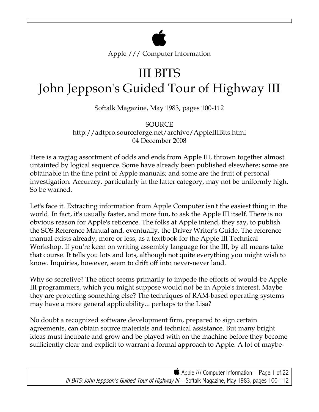

Apple /// Computer Information

# III BITS John Jeppson's Guided Tour of Highway III

Softalk Magazine, May 1983, pages 100-112

SOURCE http://adtpro.sourceforge.net/archive/AppleIIIBits.html 04 December 2008

Here is a ragtag assortment of odds and ends from Apple III, thrown together almost untainted by logical sequence. Some have already been published elsewhere; some are obtainable in the fine print of Apple manuals; and some are the fruit of personal investigation. Accuracy, particularly in the latter category, may not be uniformly high. So be warned.

Let's face it. Extracting information from Apple Computer isn't the easiest thing in the world. In fact, it's usually faster, and more fun, to ask the Apple III itself. There is no obvious reason for Apple's reticence. The folks at Apple intend, they say, to publish the SOS Reference Manual and, eventually, the Driver Writer's Guide. The reference manual exists already, more or less, as a textbook for the Apple III Technical Workshop. If you're keen on writing assembly language for the III, by all means take that course. It tells you lots and lots, although not quite everything you might wish to know. Inquiries, however, seem to drift off into never-never land.

Why so secretive? The effect seems primarily to impede the efforts of would-be Apple III programmers, which you might suppose would not be in Apple's interest. Maybe they are protecting something else? The techniques of RAM-based operating systems may have a more general applicability... perhaps to the Lisa?

No doubt a recognized software development firm, prepared to sign certain agreements, can obtain source materials and technical assistance. But many bright ideas must incubate and grow and be played with on the machine before they become sufficiently clear and explicit to warrant a formal approach to Apple. A lot of maybe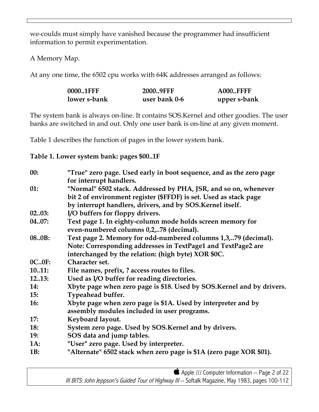we-coulds must simply have vanished because the programmer had insufficient information to permit experimentation.

A Memory Map.

At any one time, the 6502 cpu works with 64K addresses arranged as follows:

| 0000.1FFF    | 2000.9FFF     | <b>A000FFFF</b> |
|--------------|---------------|-----------------|
| lower s-bank | user bank 0-6 | upper s-bank    |

The system bank is always on-line. It contains SOS.Kernel and other goodies. The user banks are switched in and out. Only one user bank is on-line at any given moment.

Table 1 describes the function of pages in the lower system bank.

**Table 1. Lower system bank: pages \$00..1F**

| 00:          | "True" zero page. Used early in boot sequence, and as the zero page    |
|--------------|------------------------------------------------------------------------|
|              | for interrupt handlers.                                                |
| 01:          | "Normal" 6502 stack. Addressed by PHA, JSR, and so on, whenever        |
|              | bit 2 of environment register (\$FFDF) is set. Used as stack page      |
|              | by interrupt handlers, drivers, and by SOS.Kernel itself.              |
| 0203:        | I/O buffers for floppy drivers.                                        |
| 0407:        | Text page 1. In eighty-column mode holds screen memory for             |
|              | even-numbered columns 0,2,78 (decimal).                                |
| 08.0B:       | Text page 2. Memory for odd-numbered columns 1,3,79 (decimal).         |
|              | Note: Corresponding addresses in TextPage1 and TextPage2 are           |
|              | interchanged by the relation: (high byte) XOR \$0C.                    |
| <b>OC0F:</b> | Character set.                                                         |
| 1011:        | File names, prefix, ? access routes to files.                          |
| 1213:        | Used as I/O buffer for reading directories.                            |
| <b>14:</b>   | Xbyte page when zero page is \$18. Used by SOS. Kernel and by drivers. |
| 15:          | Typeahead buffer.                                                      |
| <b>16:</b>   | Xbyte page when zero page is \$1A. Used by interpreter and by          |
|              | assembly modules included in user programs.                            |
| 17:          | Keyboard layout.                                                       |
| <b>18:</b>   | System zero page. Used by SOS.Kernel and by drivers.                   |
| <b>19:</b>   | SOS data and jump tables.                                              |
| <b>1A:</b>   | "User" zero page. Used by interpreter.                                 |
| 1B:          | "Alternate" 6502 stack when zero page is \$1A (zero page XOR \$01).    |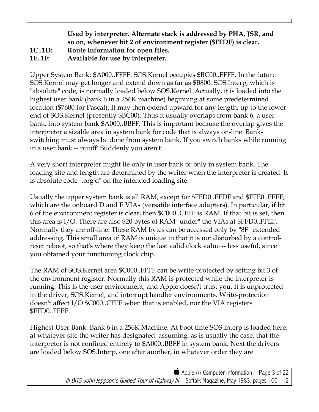## **Used by interpreter. Alternate stack is addressed by PHA, JSR, and so on, whenever bit 2 of environment register (\$FFDF) is clear. 1C..1D: Route information for open files. 1E..1F: Available for use by interpreter.**

Upper System Bank: \$A000..FFFF. SOS.Kernel occupies \$BC00..FFFF. In the future SOS.Kernel may get longer and extend down as far as \$B800. SOS.Interp, which is "absolute" code, is normally loaded below SOS.Kernel. Actually, it is loaded into the highest user bank (bank 6 in a 256K machine) beginning at some predetermined location (\$7600 for Pascal). It may then extend upward for any length, up to the lower end of SOS.Kernel (presently \$BC00). Thus it usually overlaps from bank 6, a user bank, into system bank \$A000..BBFF. This is important because the overlap gives the interpreter a sizable area in system bank for code that is always on-line. Bankswitching must always be done from system bank. If you switch banks while running in a user bank -- puuff! Suddenly you aren't.

A very short interpreter might lie only in user bank or only in system bank. The loading site and length are determined by the writer when the interpreter is created. It is absolute code ".org'd" on the intended loading site.

Usually the upper system bank is all RAM, except for \$FFD0..FFDF and \$FFE0..FFEF, which are the onboard D and E VIAs (versatile interface adapters). In particular, if bit 6 of the environment register is clear, then \$C000..CFFF is RAM. If that bit is set, then this area is I/O. There are also \$20 bytes of RAM "under" the VIAs at \$FFD0..FFEF. Normally they are off-line. These RAM bytes can be accessed only by "8F" extended addressing. This small area of RAM is unique in that it is not disturbed by a controlreset reboot, so that's where they keep the last valid clock value -- less useful, since you obtained your functioning clock chip.

The RAM of SOS.Kernel area \$C000..FFFF can be write-protected by setting bit 3 of the environment register. Normally this RAM is protected while the interpreter is running. This is the user environment, and Apple doesn't trust you. It is unprotected in the driver, SOS.Kemel, and interrupt handler environments. Write-protection doesn't affect I/O \$C000..CFFF when that is enabled, nor the VIA registers \$FFD0..FFEF.

Highest User Bank: Bank 6 in a 256K Machine. At boot time SOS.Interp is loaded here, at whatever site the writer has designated, assuming, as is usually the case, that the interpreter is not confined entirely to \$A000..BBFF in system bank. Next the drivers are loaded below SOS.Interp, one after another, in whatever order they are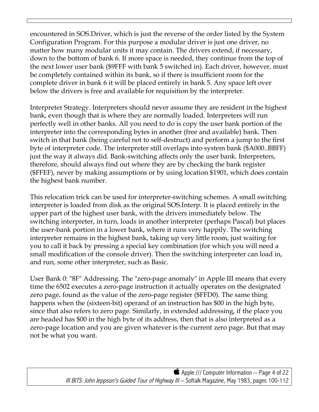encountered in SOS.Driver, which is just the reverse of the order listed by the System Configuration Program. For this purpose a modular driver is just one driver, no matter how many modular units it may contain. The drivers extend, if necessary, down to the bottom of bank 6. If more space is needed, they continue from the top of the next lower user bank (\$9FFF with bank 5 switched in). Each driver, however, must be completely contained within its bank, so if there is insufficient room for the complete driver in bank 6 it will be placed entirely in bank 5. Any space left over below the drivers is free and available for requisition by the interpreter.

Interpreter Strategy. Interpreters should never assume they are resident in the highest bank, even though that is where they are normally loaded. Interpreters will run perfectly well in other banks. All you need to do is copy the user bank portion of the interpreter into the corresponding bytes in another (free and available) bank. Then switch in that bank (being careful not to self-destruct) and perform a jump to the first byte of interpreter code. The interpreter still overlaps into system bank (\$A000..BBFF) just the way it always did. Bank-switching affects only the user bank. Interpreters, therefore, should always find out where they are by checking the bank register (\$FFEF), never by making assumptions or by using location \$1901, which does contain the highest bank number.

This relocation trick can be used for interpreter-switching schemes. A small switching interpreter is loaded from disk as the original SOS.Interp. It is placed entirely in the upper part of the highest user bank, with the drivers immediately below. The switching interpreter, in turn, loads in another interpreter (perhaps Pascal) but places the user-bank portion in a lower bank, where it runs very happily. The switching interpreter remains in the highest bank, taking up very little room, just waiting for you to call it back by pressing a special key combination (for which you will need a small modification of the console driver). Then the switching interpreter can load in, and run, some other interpreter, such as Basic.

User Bank 0: "8F" Addressing. The "zero-page anomaly" in Apple III means that every time the 6502 executes a zero-page instruction it actually operates on the designated zero page, found as the value of the zero-page register (\$FFD0). The same thing happens when the (sixteen-bit) operand of an instruction has \$00 in the high byte, since that also refers to zero page. Similarly, in extended addressing, if the place you are headed has \$00 in the high byte of its address, then that is also interpreted as a zero-page location and you are given whatever is the current zero page. But that may not be what you want.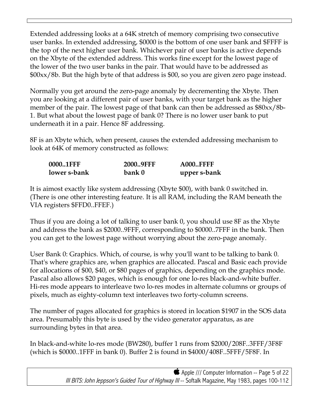Extended addressing looks at a 64K stretch of memory comprising two consecutive user banks. In extended addressing, \$0000 is the bottom of one user bank and \$FFFF is the top of the next higher user bank. Whichever pair of user banks is active depends on the Xbyte of the extended address. This works fine except for the lowest page of the lower of the two user banks in the pair. That would have to be addressed as \$00xx/8b. But the high byte of that address is \$00, so you are given zero page instead.

Normally you get around the zero-page anomaly by decrementing the Xbyte. Then you are looking at a different pair of user banks, with your target bank as the higher member of the pair. The lowest page of that bank can then be addressed as \$80xx/8b-1. But what about the lowest page of bank 0? There is no lower user bank to put underneath it in a pair. Hence 8F addressing.

8F is an Xbyte which, when present, causes the extended addressing mechanism to look at 64K of memory constructed as follows:

| 0000.1FFF    | 2000.9FFF | <b>A000FFFF</b> |
|--------------|-----------|-----------------|
| lower s-bank | bank 0    | upper s-bank    |

It is aimost exactly like system addressing (Xbyte \$00), with bank 0 switched in. (There is one other interesting feature. It is all RAM, including the RAM beneath the VIA registers \$FFD0..FFEF.)

Thus if you are doing a lot of talking to user bank 0, you should use 8F as the Xbyte and address the bank as \$2000..9FFF, corresponding to \$0000..7FFF in the bank. Then you can get to the lowest page without worrying about the zero-page anomaly.

User Bank 0: Graphics. Which, of course, is why you'll want to be talking to bank 0. That's where graphics are, when graphics are allocated. Pascal and Basic each provide for allocations of \$00, \$40, or \$80 pages of graphics, depending on the graphics mode. Pascal also allows \$20 pages, which is enough for one lo-res black-and-white buffer. Hi-res mode appears to interleave two lo-res modes in alternate columns or groups of pixels, much as eighty-column text interleaves two forty-column screens.

The number of pages allocated for graphics is stored in location \$1907 in the SOS data area. Presumably this byte is used by the video generator apparatus, as are surrounding bytes in that area.

In black-and-white lo-res mode (BW280), buffer 1 runs from \$2000/208F..3FFF/3F8F (which is \$0000..1FFF in bank 0). Buffer 2 is found in \$4000/408F..5FFF/5F8F. In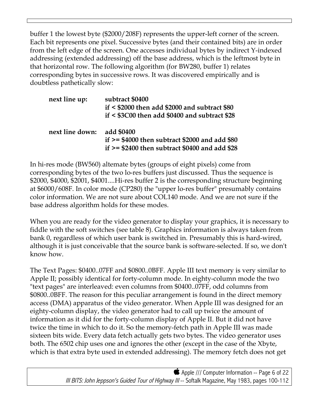buffer 1 the lowest byte (\$2000/208F) represents the upper-left corner of the screen. Each bit represents one pixel. Successive bytes (and their contained bits) are in order from the left edge of the screen. One accesses individual bytes by indirect Y-indexed addressing (extended addressing) off the base address, which is the leftmost byte in that horizontal row. The following algorithm (for BW280, buffer 1) relates corresponding bytes in successive rows. It was discovered empirically and is doubtless pathetically slow:

| next line up:   | subtract \$0400<br>$if < $2000$ then add \$2000 and subtract \$80<br>$if < $3C00$ then add \$0400 and subtract \$28 |
|-----------------|---------------------------------------------------------------------------------------------------------------------|
| next line down: | add \$0400<br>if $>=$ \$4000 then subtract \$2000 and add \$80<br>if $>= $2400$ then subtract \$0400 and add \$28   |

In hi-res mode (BW560) altemate bytes (groups of eight pixels) come from corresponding bytes of the two lo-res buffers just discussed. Thus the sequence is \$2000, \$4000, \$2001, \$4001....Hi-res buffer 2 is the corresponding structure beginning at \$6000/608F. In color mode (CP280) the "upper lo-res buffer" presumably contains color information. We are not sure about COL140 mode. And we are not sure if the base address algorithm holds for these modes.

When you are ready for the video generator to display your graphics, it is necessary to fiddle with the soft switches (see table 8). Graphics information is always taken from bank 0, regardless of which user bank is switched in. Presumably this is hard-wired, although it is just conceivable that the source bank is software-selected. If so, we don't know how.

The Text Pages: \$0400..07FF and \$0800..0BFF. Apple III text memory is very similar to Apple II; possibly identical for forty-column mode. In eighty-column mode the two "text pages" are interleaved: even columns from \$0400..07FF, odd columns from \$0800..0BFF. The reason for this peculiar arrangement is found in the direct memory access (DMA) apparatus of the video generator. When Apple III was designed for an eighty-column display, the video generator had to call up twice the amount of information as it did for the forty-column display of Apple II. But it did not have twice the time in which to do it. So the memory-fetch path in Apple III was made sixteen bits wide. Every data fetch actually gets two bytes. The video generator uses both. The 6502 chip uses one and ignores the other (except in the case of the Xbyte, which is that extra byte used in extended addressing). The memory fetch does not get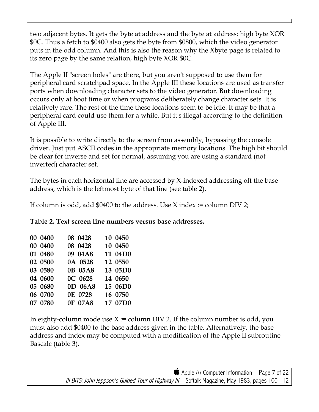two adjacent bytes. It gets the byte at address and the byte at address: high byte XOR \$0C. Thus a fetch to \$0400 also gets the byte from \$0800, which the video generator puts in the odd column. And this is also the reason why the Xbyte page is related to its zero page by the same relation, high byte XOR \$0C.

The Apple II "screen holes" are there, but you aren't supposed to use them for peripheral card scratchpad space. In the Apple III these locations are used as transfer ports when downloading character sets to the video generator. But downloading occurs only at boot time or when programs deliberately change character sets. It is relatively rare. The rest of the time these locations seem to be idle. It may be that a peripheral card could use them for a while. But it's illegal according to the definition of Apple III.

It is possible to write directly to the screen from assembly, bypassing the console driver. Just put ASCII codes in the appropriate memory locations. The high bit should be clear for inverse and set for normal, assuming you are using a standard (not inverted) character set.

The bytes in each horizontal line are accessed by X-indexed addressing off the base address, which is the leftmost byte of that line (see table 2).

If column is odd, add \$0400 to the address. Use X index := column DIV 2;

| Table 2. Text screen line numbers versus base addresses. |  |  |  |  |  |  |  |
|----------------------------------------------------------|--|--|--|--|--|--|--|
|----------------------------------------------------------|--|--|--|--|--|--|--|

| 00 0400 | 08 0428 | 10 0450 |
|---------|---------|---------|
| 00 0400 | 08 0428 | 10 0450 |
| 01 0480 | 09 04A8 | 11 04D0 |
| 02 0500 | 0A 0528 | 12 0550 |
| 03 0580 | 0B 05A8 | 13 05D0 |
| 04 0600 | OC 0628 | 14 0650 |
| 05 0680 | 0D 06A8 | 15 06D0 |
| 06 0700 | 0E 0728 | 16 0750 |
| 07 0780 | 0F 07A8 | 17 07D0 |

In eighty-column mode use  $X :=$  column DIV 2. If the column number is odd, you must also add \$0400 to the base address given in the table. Alternatively, the base address and index may be computed with a modification of the Apple II subroutine Bascalc (table 3).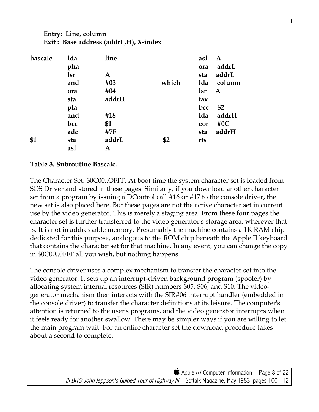# **Entry: Line, column Exit : Base address (addrL,H), X-index**

| bascalc | 1da | line  |       | asl | A      |
|---------|-----|-------|-------|-----|--------|
|         | pha |       |       | ora | addrL  |
|         | lsr | A     |       | sta | addrL  |
|         | and | #03   | which | 1da | column |
|         | ora | #04   |       | lsr | A      |
|         | sta | addrH |       | tax |        |
|         | pla |       |       | bcc | \$2    |
|         | and | #18   |       | 1da | addrH  |
|         | bcc | \$1   |       | eor | #0 $C$ |
|         | adc | #7F   |       | sta | addrH  |
| \$1     | sta | addrL | \$2   | rts |        |
|         | asl | Α     |       |     |        |

## **Table 3. Subroutine Bascalc.**

The Character Set: \$0C00..OFFF. At boot time the system character set is loaded from SOS.Driver and stored in these pages. Similarly, if you download another character set from a program by issuing a DControl call #16 or #17 to the console driver, the new set is also placed here. But these pages are not the active character set in current use by the video generator. This is merely a staging area. From these four pages the character set is further transferred to the video generator's storage area, wherever that is. It is not in addressable memory. Presumably the machine contains a 1K RAM chip dedicated for this purpose, analogous to the ROM chip beneath the Apple II keyboard that contains the character set for that machine. In any event, you can change the copy in \$0C00..0FFF all you wish, but nothing happens.

The console driver uses a complex mechanism to transfer the.character set into the video generator. It sets up an interrupt-driven background program (spooler) by allocating system internal resources (SIR) numbers \$05, \$06, and \$10. The videogenerator mechanism then interacts with the SIR#06 interrupt handler (embedded in the console driver) to transfer the character definitions at its leisure. The computer's attention is returned to the user's programs, and the video generator interrupts when it feels ready for another swallow. There may be simpler ways if you are willing to let the main program wait. For an entire character set the download procedure takes about a second to complete.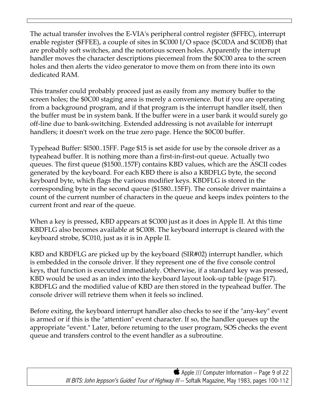The actual transfer involves the E-VIA's peripheral control register (\$FFEC), interrupt enable register (\$FFEE), a couple of sites in \$C000 I/O space (\$C0DA and \$C0DB) that are probably soft switches, and the notorious screen holes. Apparently the interrupt handler moves the character descriptions piecemeal from the \$0C00 area to the screen holes and then alerts the video generator to move them on from there into its own dedicated RAM.

This transfer could probably proceed just as easily from any memory buffer to the screen holes; the \$0C00 staging area is merely a convenience. But if you are operating from a background program, and if that program is the interrupt handler itself, then the buffer must be in system bank. If the buffer were in a user bank it would surely go off-line due to bank-switching. Extended addressing is not available for interrupt handlers; it doesn't work on the true zero page. Hence the \$0C00 buffer.

Typehead Buffer: \$l500..15FF. Page \$15 is set aside for use by the console driver as a typeahead buffer. It is nothing more than a first-in-first-out queue. Actually two queues. The first queue (\$1500..157F) contains KBD values, which are the ASCII codes generated by the keyboard. For each KBD there is also a KBDFLG byte, the second keyboard byte, which flags the various modifier keys. KBDFLG is stored in the corresponding byte in the second queue (\$1580..15FF). The console driver maintains a count of the current number of characters in the queue and keeps index pointers to the current front and rear of the queue.

When a key is pressed, KBD appears at \$C000 just as it does in Apple II. At this time KBDFLG also becomes available at \$C008. The keyboard interrupt is cleared with the keyboard strobe, \$C010, just as it is in Apple II.

KBD and KBDFLG are picked up by the keyboard (SIR#02) interrupt handler, which is embedded in the console driver. If they represent one of the five console control keys, that function is executed immediately. Otherwise, if a standard key was pressed, KBD would be used as an index into the keyboard layout look-up table (page \$17). KBDFLG and the modified value of KBD are then stored in the typeahead buffer. The console driver will retrieve them when it feels so inclined.

Before exiting, the keyboard interrupt handler also checks to see if the "any-key" event is armed or if this is the "attention" event character. If so, the handler queues up the appropriate "event." Later, before retuming to the user program, SOS checks the event queue and transfers control to the event handler as a subroutine.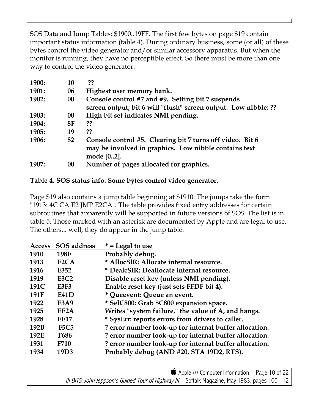SOS Data and Jump Tables: \$1900..19FF. The first few bytes on page \$19 contain important status information (table 4). During ordinary business, some (or all) of these bytes control the video generator and/or similar accessory apparatus. But when the monitor is running, they have no perceptible effect. So there must be more than one way to control the video generator.

| <b>1900:</b> | 10        | ??                                                                                                                               |
|--------------|-----------|----------------------------------------------------------------------------------------------------------------------------------|
| <b>1901:</b> | 06        | Highest user memory bank.                                                                                                        |
| <b>1902:</b> | 00        | Console control #7 and #9. Setting bit 7 suspends<br>screen output; bit 6 will "flush" screen output. Low nibble: ??             |
| 1903:        | 00        | High bit set indicates NMI pending.                                                                                              |
| 1904:        | <b>8F</b> | ??                                                                                                                               |
| 1905:        | 19        | ??                                                                                                                               |
| 1906:        | 82        | Console control #5. Clearing bit 7 turns off video. Bit 6<br>may be involved in graphics. Low nibble contains text<br>mode [02]. |
| 1907:        | 00        | Number of pages allocated for graphics.                                                                                          |

# **Table 4. SOS status info. Some bytes control video generator.**

Page \$19 also contains a jump table beginning at \$1910. The jumps take the form "1913: 4C CA E2 JMP E2CA". The table provides fixed entry addresses for certain subroutines that apparently will be supported in future versions of SOS. The list is in table 5. Those marked with an asterisk are documented by Apple and are legal to use. The others... well, they do appear in the jump table.

| <b>Access</b> | <b>SOS</b> address | $* =$ Legal to use                                     |
|---------------|--------------------|--------------------------------------------------------|
| 1910          | 198F               | Probably debug.                                        |
| 1913          | E <sub>2</sub> CA  | * AllocSlR: Allocate internal resource.                |
| 1916          | E352               | * DealcSIR: Deallocate internal resource.              |
| 1919          | <b>E3C2</b>        | Disable reset key (unless NMI pending).                |
| 191C          | <b>E3F3</b>        | Enable reset key (just sets FFDF bit 4).               |
| 191F          | <b>E41D</b>        | * Queevent: Queue an event.                            |
| 1922          | <b>E3A9</b>        | * SelC800: Grab \$C800 expansion space.                |
| 1925          | EE2A               | Writes "system failure," the value of A, and hangs.    |
| 1928          | <b>EE17</b>        | * SysErr: reports errors from drivers to caller.       |
| 192B          | <b>F5C5</b>        | ? error number look-up for internal buffer allocation. |
| 192E          | <b>F686</b>        | ? error number look-up for internal buffer allocation. |
| 1931          | <b>F710</b>        | ? error number look-up for internal buffer allocation. |
| 1934          | 19 <sub>D</sub> 3  | Probably debug (AND #20, STA 19D2, RTS).               |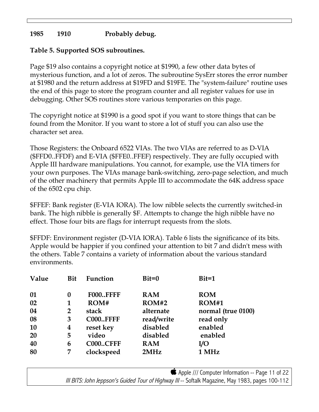## **1985 1910 Probably debug.**

### **Table 5. Supported SOS subroutines.**

Page \$19 also contains a copyright notice at \$1990, a few other data bytes of mysterious function, and a lot of zeros. The subroutine SysErr stores the error number at \$1980 and the return address at \$19FD and \$19FE. The "system-failure" routine uses the end of this page to store the program counter and all register values for use in debugging. Other SOS routines store various temporaries on this page.

The copyright notice at \$1990 is a good spot if you want to store things that can be found from the Monitor. If you want to store a lot of stuff you can also use the character set area.

Those Registers: the Onboard 6522 VIAs. The two VIAs are referred to as D-VIA (\$FFD0..FFDF) and E-VIA (\$FFE0..FFEF) respectively. They are fully occupied with Apple III hardware manipulations. You cannot, for example, use the VIA timers for your own purposes. The VIAs manage bank-switching, zero-page selection, and much of the other machinery that permits Apple III to accommodate the 64K address space of the 6502 cpu chip.

\$FFEF: Bank register (E-VIA IORA). The low nibble selects the currently switched-in bank. The high nibble is generally \$F. Attempts to change the high nibble have no effect. Those four bits are flags for interrupt requests from the slots.

\$FFDF: Environment register (D-VIA IORA). Table 6 lists the significance of its bits. Apple would be happier if you confined your attention to bit 7 and didn't mess with the others. Table 7 contains a variety of information about the various standard environments.

| Value     | <b>Bit</b> | Function        | $Bit=0$    | $Bit=1$            |
|-----------|------------|-----------------|------------|--------------------|
| 01        | $\bf{0}$   | <b>F000FFFF</b> | <b>RAM</b> | <b>ROM</b>         |
| 02        | 1          | ROM#            | ROM#2      | ROM#1              |
| 04        | 2          | stack           | alternate  | normal (true 0100) |
| 08        | 3          | <b>C000FFFF</b> | read/write | read only          |
| <b>10</b> | 4          | reset key       | disabled   | enabled            |
| <b>20</b> | 5          | video           | disabled   | enabled            |
| 40        | 6          | <b>C000CFFF</b> | <b>RAM</b> | I/O                |
| 80        | 7          | clockspeed      | 2MHz       | 1 MHz              |

Apple /// Computer Information -- Page 11 of 22 III BITS: John Jeppson's Guided Tour of Highway III -- Softalk Magazine, May 1983, pages 100-112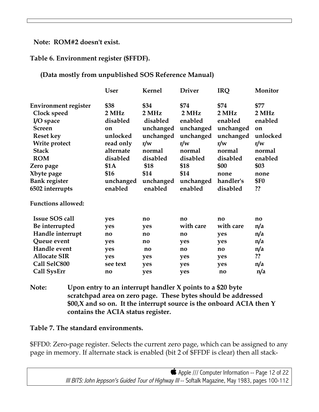#### **Note: ROM#2 doesn't exist.**

#### **Table 6. Environment register (\$FFDF).**

#### **(Data mostly from unpublished SOS Reference Manual)**

|                                                                                                                                                                                                                   | <b>User</b>                                                                                                               | Kernel                                                                                                                   | <b>Driver</b>                                                                                                           | <b>IRQ</b>                                                                                                               | Monitor                                                                                                     |
|-------------------------------------------------------------------------------------------------------------------------------------------------------------------------------------------------------------------|---------------------------------------------------------------------------------------------------------------------------|--------------------------------------------------------------------------------------------------------------------------|-------------------------------------------------------------------------------------------------------------------------|--------------------------------------------------------------------------------------------------------------------------|-------------------------------------------------------------------------------------------------------------|
| <b>Environment register</b><br>Clock speed<br>I/O space<br><b>Screen</b><br><b>Reset key</b><br>Write protect<br><b>Stack</b><br><b>ROM</b><br>Zero page<br>Xbyte page<br><b>Bank register</b><br>6502 interrupts | \$38<br>2 MHz<br>disabled<br>on<br>unlocked<br>read only<br>alternate<br>disabled<br>\$1A<br>\$16<br>unchanged<br>enabled | \$34<br>2 MHz<br>disabled<br>unchanged<br>unchanged<br>r/w<br>normal<br>disabled<br>\$18<br>\$14<br>unchanged<br>enabled | \$74<br>2 MHz<br>enabled<br>unchanged<br>unchanged<br>r/w<br>normal<br>disabled<br>\$18<br>\$14<br>unchanged<br>enabled | \$74<br>2 MHz<br>enabled<br>unchanged<br>unchanged<br>r/w<br>normal<br>disabled<br>\$00<br>none<br>handler's<br>disabled | \$77<br>2 MHz<br>enabled<br>on<br>unlocked<br>r/w<br>normal<br>enabled<br>\$03<br>none<br><b>\$F0</b><br>?? |
| <b>Functions allowed:</b>                                                                                                                                                                                         |                                                                                                                           |                                                                                                                          |                                                                                                                         |                                                                                                                          |                                                                                                             |
| <b>Issue SOS call</b><br>Be interrupted<br>Handle interrupt<br>Queue event<br>Handle event<br><b>Allocate SIR</b><br>Call SelC800<br><b>Call SysErr</b>                                                           | yes<br>yes<br>no<br>yes<br>yes<br>yes<br>see text<br>$\mathbf{n}\mathbf{o}$                                               | $\mathbf{n}$<br>yes<br>$\mathbf{n}\mathbf{o}$<br>no<br>no<br>yes<br>yes<br>ves                                           | $\mathbf{n}$<br>with care<br>$\mathbf{n}\mathbf{o}$<br>yes<br>$\mathbf{n}\mathbf{o}$<br>yes<br>yes<br>ves               | no<br>with care<br>yes<br>yes<br>no<br>yes<br>yes<br>$\mathbf{n}\mathbf{o}$                                              | $\mathbf{n}\mathbf{o}$<br>n/a<br>n/a<br>n/a<br>n/a<br>??<br>n/a<br>n/a                                      |
|                                                                                                                                                                                                                   |                                                                                                                           |                                                                                                                          |                                                                                                                         |                                                                                                                          |                                                                                                             |

**Note: Upon entry to an interrupt handler X points to a \$20 byte scratchpad area on zero page. These bytes should be addressed \$00,X and so on. It the interrupt source is the onboard ACIA then Y contains the ACIA status register.**

#### **Table 7. The standard environments.**

\$FFD0: Zero-page register. Selects the current zero page, which can be assigned to any page in memory. If alternate stack is enabled (bit 2 of \$FFDF is clear) then all stack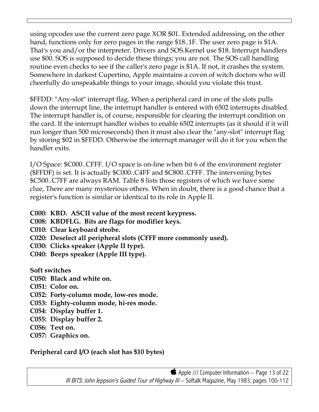using opcodes use the current zero page XOR \$01. Extended addressing, on the other hand, functions only for zero pages in the range \$18..1F. The user zero page is \$1A. That's you and/or the interpreter. Drivers and SOS.Kernel use \$18. Interrupt handlers use \$00. SOS is supposed to decide these things; you are not. The SOS call handling routine even checks to see if the caller's zero page is \$1A. If not, it crashes the system. Somewhere in darkest Cupertino, Apple maintains a coven of witch doctors who will cheerfully do unspeakable things to your image, should you violate this trust.

\$FFDD: "Any-slot" interrupt flag. When a peripheral card in one of the slots pulls down the interrupt line, the interrupt handler is entered with 6502 interrupts disabled. The interrupt handler is, of course, responsible for clearing the interrupt condition on the card. If the interrupt handler wishes to enable 6502 interrupts (as it should if it will run longer than 500 microseconds) then it must also clear the "any-slot" interrupt flag by storing \$02 in \$FFDD. Otherwise the interrupt manager will do it for you when the handler exits.

I/O Space: \$C000..CFFF. I/O space is on-line when bit 6 of the environment register (\$FFDF) is set. It is actually \$C000..C4FF and \$C800..CFFF. The intervening bytes \$C500..C7FF are always RAM. Table 8 lists those registers of which we have some clue, There are many mysterious others. When in doubt, there is a good chance that a register's function is similar or identical to its role in Apple II.

- **C000: KBD. ASCII value of the most recent keypress.**
- **C008: KBDFLG. Bits are flags for modifier keys.**
- **C010: Clear keyboard strobe.**
- **C020: Deselect all peripheral slots (CFFF more commonly used).**
- **C030: Clicks speaker (Apple II type).**
- **C040: Beeps speaker (Apple III type).**

**Soft switches**

- **C050: Black and white on.**
- **C051: Color on.**
- **C052: Forty-column mode, low-res mode.**
- **C053: Eighty-column mode, hi-res mode.**
- **C054: Display buffer 1.**
- **C055: Display buffer 2.**
- **C056: Text on.**
- **C057: Graphics on.**

**Peripheral card I/O (each slot has \$10 bytes)**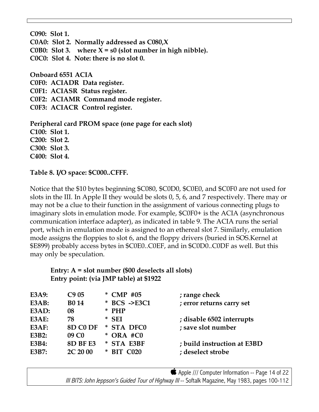**C090: Slot 1. C0A0: Slot 2. Normally addressed as C080,X C0B0: Slot 3.** where  $X = s0$  (slot number in high nibble). **C0C0: Slot 4. Note: there is no slot 0.**

**Onboard 6551 ACIA C0F0: ACIADR Data register. C0F1: ACIASR Status register. C0F2: ACIAMR Command mode register. C0F3: ACIACR Control register.**

**Peripheral card PROM space (one page for each slot) C100: Slot 1. C200: Slot 2. C300: Slot 3. C400: Slot 4.**

**Table 8. I/O space: \$C000..CFFF.**

Notice that the \$10 bytes beginning \$C080, \$C0D0, \$C0E0, and \$C0F0 are not used for slots in the III. In Apple II they would be slots 0, 5, 6, and 7 respectively. There may or may not be a clue to their function in the assignment of various connecting plugs to imaginary slots in emulation mode. For example, \$C0F0+ is the ACIA (asynchronous communication interface adapter), as indicated in table 9. The ACIA runs the serial port, which in emulation mode is assigned to an ethereal slot 7. Similarly, emulation mode assigns the floppies to slot 6, and the floppy drivers (buried in SOS.Kernel at \$E899) probably access bytes in \$C0E0..C0EF, and in \$C0D0..C0DF as well. But this may only be speculation.

 **Entry: A = slot number (\$00 deselects all slots) Entry point: (via JMP table) at \$1922**

| E3A9: | C905              | $CMP$ #05<br>$\ast$  | ; range check               |
|-------|-------------------|----------------------|-----------------------------|
| E3AB: | <b>B014</b>       | * BCS ->E3C1         | ; error returns carry set   |
| E3AD: | 08                | $*$ PHP              |                             |
| E3AE: | 78                | * SEI                | ; disable 6502 interrupts   |
| E3AF: | 8D C0 DF          | * STA DFC0           | ; save slot number          |
| E3B2: | 09 C <sub>0</sub> | $*$ ORA #C0          |                             |
| E3B4: | 8D BF E3          | * STA E3BF           | ; build instruction at E3BD |
| E3B7: | 2C 20 00          | <b>BIT C020</b><br>∗ | ; deselect strobe           |
|       |                   |                      |                             |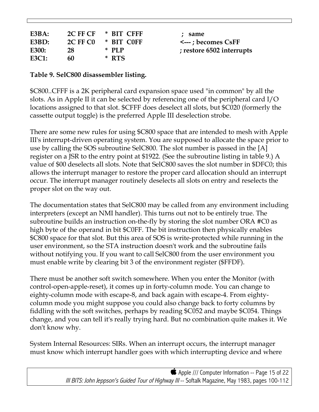| E3BA: |                 | 2C FF CF * BIT CFFF | : same                      |
|-------|-----------------|---------------------|-----------------------------|
| E3BD: | <b>2C FF CO</b> | * BIT COFF          | $\leftarrow$ : becomes CsFF |
| E300: | 28              | * PIP               | ; restore 6502 interrupts   |
| E3C1: | 60              | * RTS               |                             |

#### **Table 9. SelC800 disassembler listing.**

\$C800..CFFF is a 2K peripheral card expansion space used "in common" by all the slots. As in Apple II it can be selected by referencing one of the peripheral card I/O locations assigned to that slot. \$CFFF does deselect all slots, but \$C020 (formerly the cassette output toggle) is the preferred Apple III deselection strobe.

There are some new rules for using \$C800 space that are intended to mesh with Apple III's interrupt-driven operating system. You are supposed to allocate the space prior to use by calling the SOS subroutine SelC800. The slot number is passed in the [A] register on a JSR to the entry point at \$1922. (See the subroutine listing in table 9.) A value of \$00 deselects all slots. Note that SelC800 saves the slot number in \$DFC0; this allows the interrupt manager to restore the proper card allocation should an interrupt occur. The interrupt manager routinely deselects all slots on entry and reselects the proper slot on the way out.

The documentation states that SelC800 may be called from any environment including interpreters (except an NMI handler). This turns out not to be entirely true. The subroutine builds an instruction on-the-fly by storing the slot number ORA #C0 as high byte of the operand in bit \$C0FF. The bit instruction then physically enables \$C800 space for that slot. But this area of SOS is write-protected while running in the user environment, so the STA instruction doesn't work and the subroutine fails without notifying you. If you want to call SelC800 from the user environment you must enable write by clearing bit 3 of the environment register (\$FFDF).

There must be another soft switch somewhere. When you enter the Monitor (with control-open-apple-reset), it comes up in forty-column mode. You can change to eighty-column mode with escape-8, and back again with escape-4. From eightycolumn mode you might suppose you could also change back to forty columns by fiddling with the soft switches, perhaps by reading \$C052 and maybe \$C054. Things change, and you can tell it's really trying hard. But no combination quite makes it. We don't know why.

System Internal Resources: SIRs. When an interrupt occurs, the interrupt manager must know which interrupt handler goes with which interrupting device and where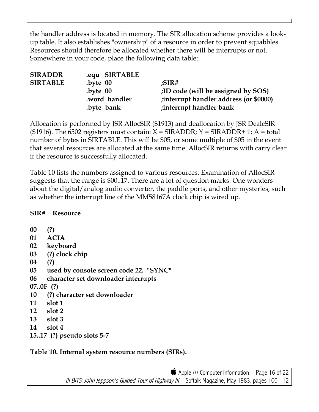the handler address is located in memory. The SIR allocation scheme provides a lookup table. It also establishes "ownership" of a resource in order to prevent squabbles. Resources should therefore be allocated whether there will be interrupts or not. Somewhere in your code, place the following data table:

| <b>SIRADDR</b>  | equ SIRTABLE. |                                         |
|-----------------|---------------|-----------------------------------------|
| <b>SIRTABLE</b> | $.b$ vte $00$ | : $SIR#$                                |
|                 | $.b$ vte $00$ | ;ID code (will be assigned by SOS)      |
|                 | .word handler | ; interrupt handler address (or \$0000) |
|                 | byte bank.    | ; interrupt handler bank                |
|                 |               |                                         |

Allocation is performed by JSR AllocSIR (\$1913) and deallocation by JSR DealcSIR (\$1916). The 6502 registers must contain:  $X = \text{SIRADDR}$ ;  $Y = \text{SIRADDR} + 1$ ; A = total number of bytes in SIRTABLE. This will be \$05, or some multiple of \$05 in the event that several resources are allocated at the same time. AllocSIR returns with carry clear if the resource is successfully allocated.

Table 10 lists the numbers assigned to various resources. Examination of AllocSIR suggests that the range is \$00..17. There are a lot of question marks. One wonders about the digital/analog audio converter, the paddle ports, and other mysteries, such as whether the interrupt line of the MM58167A clock chip is wired up.

**SIR# Resource**

**00 (?) 01 ACIA 02 keyboard 03 (?) clock chip 04 (?) 05 used by console screen code 22. "SYNC" 06 character set downloader interrupts 07..0F (?) 10 (?) character set downloader 11 slot 1 12 slot 2 13 slot 3 14 slot 4 15..17 (?) pseudo slots 5-7**

**Table 10. Internal system resource numbers (SIRs).**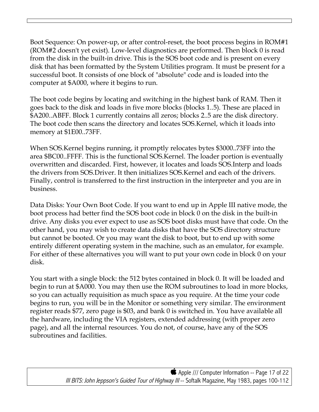Boot Sequence: On power-up, or after control-reset, the boot process begins in ROM#1 (ROM#2 doesn't yet exist). Low-level diagnostics are performed. Then block 0 is read from the disk in the built-in drive. This is the SOS boot code and is present on every disk that has been formatted by the System Utilities program. It must be present for a successful boot. It consists of one block of "absolute" code and is loaded into the computer at \$A000, where it begins to run.

The boot code begins by locating and switching in the highest bank of RAM. Then it goes back to the disk and loads in five more blocks (blocks 1..5). These are placed in \$A200..ABFF. Block 1 currently contains all zeros; blocks 2..5 are the disk directory. The boot code then scans the directory and locates SOS.Kernel, which it loads into memory at \$1E00..73FF.

When SOS.Kernel begins running, it promptly relocates bytes \$3000..73FF into the area \$BC00..FFFF. This is the functional SOS.Kernel. The loader portion is eventually overwritten and discarded. First, however, it locates and loads SOS.Interp and loads the drivers from SOS.Driver. It then initializes SOS.Kernel and each of the drivers. Finally, control is transferred to the first instruction in the interpreter and you are in business.

Data Disks: Your Own Boot Code. If you want to end up in Apple III native mode, the boot process had better find the SOS boot code in block 0 on the disk in the built-in drive. Any disks you ever expect to use as SOS boot disks must have that code. On the other hand, you may wish to create data disks that have the SOS directory structure but cannot be booted. Or you may want the disk to boot, but to end up with some entirely different operating system in the machine, such as an emulator, for example. For either of these alternatives you will want to put your own code in block 0 on your disk.

You start with a single block: the 512 bytes contained in block 0. It will be loaded and begin to run at \$A000. You may then use the ROM subroutines to load in more blocks, so you can actually requisition as much space as you require. At the time your code begins to run, you will be in the Monitor or something very similar. The environment register reads \$77, zero page is \$03, and bank 0 is switched in. You have available all the hardware, including the VIA registers, extended addressing (with proper zero page), and all the internal resources. You do not, of course, have any of the SOS subroutines and facilities.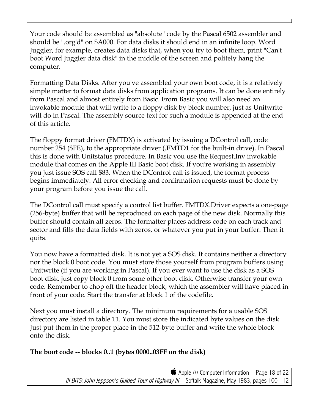Your code should be assembled as "absolute" code by the Pascal 6502 assembler and should be ".org'd" on \$A000. For data disks it should end in an infinite loop. Word Juggler, for example, creates data disks that, when you try to boot them, print "Can't boot Word Juggler data disk" in the middle of the screen and politely hang the computer.

Formatting Data Disks. After you've assembled your own boot code, it is a relatively simple matter to format data disks from application programs. It can be done entirely from Pascal and almost entirely from Basic. From Basic you will also need an invokable module that will write to a floppy disk by block number, just as Unitwrite will do in Pascal. The assembly source text for such a module is appended at the end of this article.

The floppy format driver (FMTDX) is activated by issuing a DControl call, code number 254 (\$FE), to the appropriate driver (.FMTD1 for the built-in drive). In Pascal this is done with Unitstatus procedure. In Basic you use the Request.Inv invokable module that comes on the Apple III Basic boot disk. If you're working in assembly you just issue SOS call \$83. When the DControl call is issued, the format process begins immediately. All error checking and confirmation requests must be done by your program before you issue the call.

The DControl call must specify a control list buffer. FMTDX.Driver expects a one-page (256-byte) buffer that will be reproduced on each page of the new disk. Normally this buffer should contain all zeros. The formatter places address code on each track and sector and fills the data fields with zeros, or whatever you put in your buffer. Then it quits.

You now have a formatted disk. It is not yet a SOS disk. It contains neither a directory nor the block 0 boot code. You must store those yourself from program buffers using Unitwrite (if you are working in Pascal). If you ever want to use the disk as a SOS boot disk, just copy block 0 from some other boot disk. Otherwise transfer your own code. Remember to chop off the header block, which the assembler will have placed in front of your code. Start the transfer at block 1 of the codefile.

Next you must install a directory. The minimum requirements for a usable SOS directory are listed in table 11. You must store the indicated byte values on the disk. Just put them in the proper place in the 512-byte buffer and write the whole block onto the disk.

# **The boot code -- blocks 0..1 (bytes 0000..03FF on the disk)**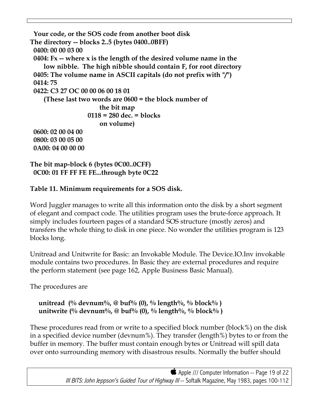```
 Your code, or the SOS code from another boot disk
The directory -- blocks 2..5 (bytes 0400..0BFF)
  0400: 00 00 03 00
 0404: Fx -- where x is the length of the desired volume name in the
     low nibble. The high nibble should contain F, for root directory
 0405: The volume name in ASCII capitals (do not prefix with "/")
 0414: 75
 0422: C3 27 OC 00 00 06 00 18 01
     (These last two words are 0600 = the block number of
                        the bit map
                    0118 = 280 dec. = blocks
                        on volume)
 0600: 02 00 04 00
 0800: 03 00 05 00
  0A00: 04 00 00 00
```

```
The bit map-block 6 (bytes 0C00..0CFF)
  0C00: 01 FF FF FE FE...through byte 0C22
```
# **Table 11. Minimum requirements for a SOS disk.**

Word Juggler manages to write all this information onto the disk by a short segment of elegant and compact code. The utilities program uses the brute-force approach. It simply includes fourteen pages of a standard SOS structure (mostly zeros) and transfers the whole thing to disk in one piece. No wonder the utilities program is 123 blocks long.

Unitread and Unitwrite for Basic: an Invokable Module. The Device.IO.Inv invokable module contains two procedures. In Basic they are external procedures and require the perform statement (see page 162, Apple Business Basic Manual).

The procedures are

```
 unitread (% devnum%, @ buf% (0), % length%, % block% )
 unitwrite (% devnum%, @ buf% (0), % length%, % block% )
```
These procedures read from or write to a specified block number (block%) on the disk in a specified device number (devnum%). They transfer (length%) bytes to or from the buffer in memory. The buffer must contain enough bytes or Unitread will spill data over onto surrounding memory with disastrous results. Normally the buffer should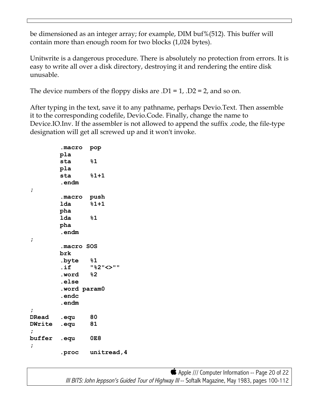be dimensioned as an integer array; for example, DIM buf%(512). This buffer will contain more than enough room for two blocks (1,024 bytes).

Unitwrite is a dangerous procedure. There is absolutely no protection from errors. It is easy to write all over a disk directory, destroying it and rendering the entire disk unusable.

The device numbers of the floppy disks are  $.D1 = 1$ ,  $.D2 = 2$ , and so on.

After typing in the text, save it to any pathname, perhaps Devio.Text. Then assemble it to the corresponding codefile, Devio.Code. Finally, change the name to Device.IO.Inv. If the assembler is not allowed to append the suffix .code, the file-type designation will get all screwed up and it won't invoke.

```
 .macro pop
         pla
         sta %1
         pla
         sta %1+1
         .endm
;
         .macro push
         lda %1+1
         pha
         lda %1
         pha
         .endm
;
         .macro SOS
         brk
         .byte %1
         .if "%2"<>""
         .word %2
         .else
         .word param0
         .endc
         .endm
;
DRead .equ 80
DWrite .equ 81
;
buffer .equ 0E8
;
         .proc unitread,4
```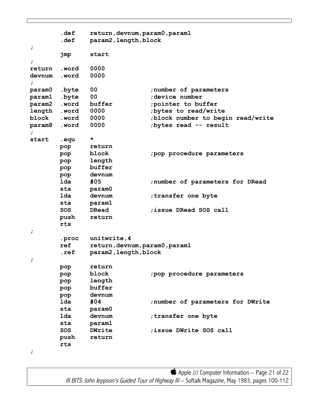```
 .def return,devnum,param0,param1
       .def param2,length,block
;
       jmp start
;
return .word 0000
devnum .word 0000
;
param0 .byte 00 ;number of parameters
param1 .byte 00 ;device number
param2 .word buffer ;pointer to buffer
length .word 0000 ;bytes to read/write
block .word 0000 ;block number to begin read/write
param8 .word 0000 ;bytes read -- result
;
start .equ *
       pop return
       pop block ;pop procedure parameters
       pop length
       pop buffer
       pop devnum
       lda #05 ;number of parameters for DRead
       sta param0
       lda devnum ;transfer one byte
       sta param1
       SOS DRead ;issue DRead SOS call
       push return
       rts
;
       .proc unitwrite,4
       ref return,devnum,param0,param1
       .ref param2,length,block
;
       pop return
       pop block ;pop procedure parameters
       pop length
       pop buffer
       pop devnum
       lda #04 ;number of parameters for DWrite
       sta param0
       lda devnum ;transfer one byte
       sta param1
       SOS DWrite ;issue DWrite SOS call
       push return
       rts
```

```
;
```